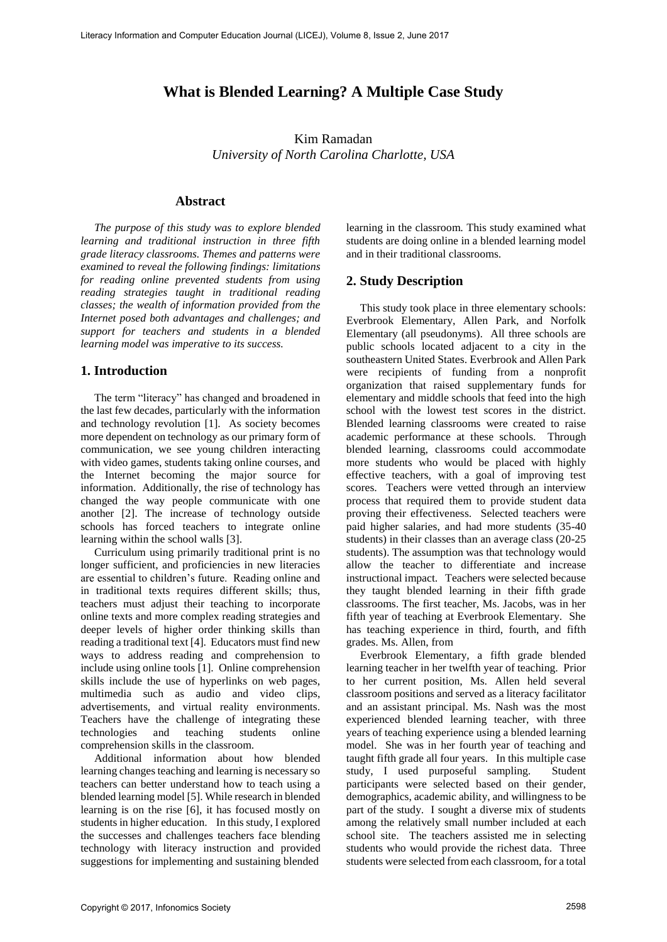# **What is Blended Learning? A Multiple Case Study**

Kim Ramadan *University of North Carolina Charlotte, USA* 

#### **Abstract**

*The purpose of this study was to explore blended learning and traditional instruction in three fifth grade literacy classrooms. Themes and patterns were examined to reveal the following findings: limitations for reading online prevented students from using reading strategies taught in traditional reading classes; the wealth of information provided from the Internet posed both advantages and challenges; and support for teachers and students in a blended learning model was imperative to its success.*

## **1. Introduction**

The term "literacy" has changed and broadened in the last few decades, particularly with the information and technology revolution [1]. As society becomes more dependent on technology as our primary form of communication, we see young children interacting with video games, students taking online courses, and the Internet becoming the major source for information. Additionally, the rise of technology has changed the way people communicate with one another [2]. The increase of technology outside schools has forced teachers to integrate online learning within the school walls [3].

Curriculum using primarily traditional print is no longer sufficient, and proficiencies in new literacies are essential to children's future. Reading online and in traditional texts requires different skills; thus, teachers must adjust their teaching to incorporate online texts and more complex reading strategies and deeper levels of higher order thinking skills than reading a traditional text [4]. Educators must find new ways to address reading and comprehension to include using online tools [1]. Online comprehension skills include the use of hyperlinks on web pages, multimedia such as audio and video clips, advertisements, and virtual reality environments. Teachers have the challenge of integrating these technologies and teaching students online comprehension skills in the classroom.

Additional information about how blended learning changes teaching and learning is necessary so teachers can better understand how to teach using a blended learning model [5]. While research in blended learning is on the rise [6], it has focused mostly on students in higher education. In this study, I explored the successes and challenges teachers face blending technology with literacy instruction and provided suggestions for implementing and sustaining blended

learning in the classroom. This study examined what students are doing online in a blended learning model and in their traditional classrooms.

# **2. Study Description**

This study took place in three elementary schools: Everbrook Elementary, Allen Park, and Norfolk Elementary (all pseudonyms). All three schools are public schools located adjacent to a city in the southeastern United States. Everbrook and Allen Park were recipients of funding from a nonprofit organization that raised supplementary funds for elementary and middle schools that feed into the high school with the lowest test scores in the district. Blended learning classrooms were created to raise academic performance at these schools. Through blended learning, classrooms could accommodate more students who would be placed with highly effective teachers, with a goal of improving test scores. Teachers were vetted through an interview process that required them to provide student data proving their effectiveness. Selected teachers were paid higher salaries, and had more students (35-40 students) in their classes than an average class (20-25 students). The assumption was that technology would allow the teacher to differentiate and increase instructional impact. Teachers were selected because they taught blended learning in their fifth grade classrooms. The first teacher, Ms. Jacobs, was in her fifth year of teaching at Everbrook Elementary. She has teaching experience in third, fourth, and fifth grades. Ms. Allen, from

Everbrook Elementary, a fifth grade blended learning teacher in her twelfth year of teaching. Prior to her current position, Ms. Allen held several classroom positions and served as a literacy facilitator and an assistant principal. Ms. Nash was the most experienced blended learning teacher, with three years of teaching experience using a blended learning model. She was in her fourth year of teaching and taught fifth grade all four years. In this multiple case study, I used purposeful sampling. Student participants were selected based on their gender, demographics, academic ability, and willingness to be part of the study. I sought a diverse mix of students among the relatively small number included at each school site. The teachers assisted me in selecting students who would provide the richest data. Three students were selected from each classroom, for a total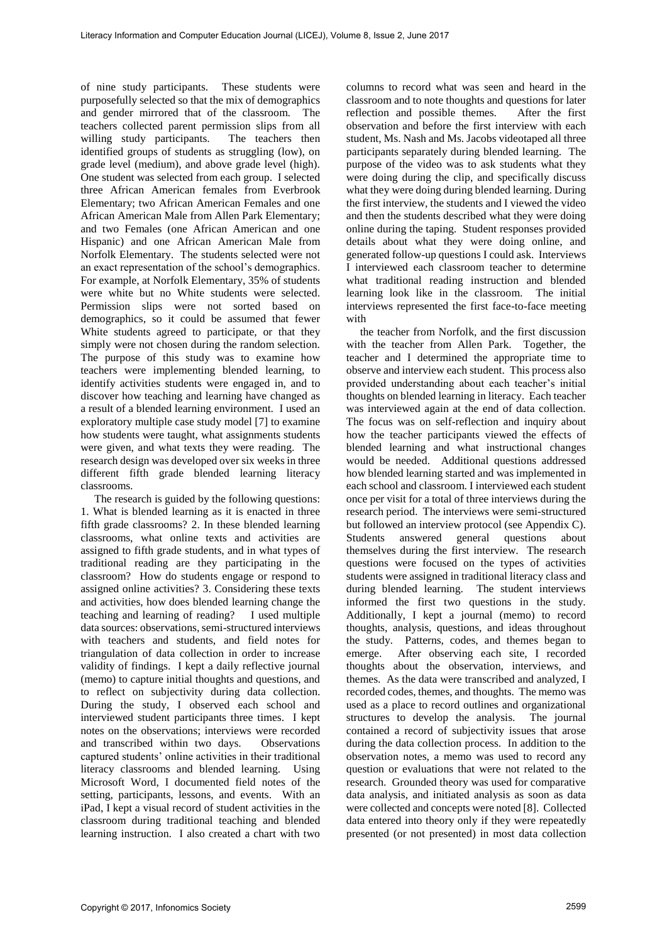of nine study participants. These students were purposefully selected so that the mix of demographics and gender mirrored that of the classroom. The teachers collected parent permission slips from all willing study participants. The teachers then identified groups of students as struggling (low), on grade level (medium), and above grade level (high). One student was selected from each group. I selected three African American females from Everbrook Elementary; two African American Females and one African American Male from Allen Park Elementary; and two Females (one African American and one Hispanic) and one African American Male from Norfolk Elementary. The students selected were not an exact representation of the school's demographics. For example, at Norfolk Elementary, 35% of students were white but no White students were selected. Permission slips were not sorted based on demographics, so it could be assumed that fewer White students agreed to participate, or that they simply were not chosen during the random selection. The purpose of this study was to examine how teachers were implementing blended learning, to identify activities students were engaged in, and to discover how teaching and learning have changed as a result of a blended learning environment. I used an exploratory multiple case study model [7] to examine how students were taught, what assignments students were given, and what texts they were reading. The research design was developed over six weeks in three different fifth grade blended learning literacy classrooms.

The research is guided by the following questions: 1. What is blended learning as it is enacted in three fifth grade classrooms? 2. In these blended learning classrooms, what online texts and activities are assigned to fifth grade students, and in what types of traditional reading are they participating in the classroom? How do students engage or respond to assigned online activities? 3. Considering these texts and activities, how does blended learning change the teaching and learning of reading? I used multiple data sources: observations, semi-structured interviews with teachers and students, and field notes for triangulation of data collection in order to increase validity of findings. I kept a daily reflective journal (memo) to capture initial thoughts and questions, and to reflect on subjectivity during data collection. During the study, I observed each school and interviewed student participants three times. I kept notes on the observations; interviews were recorded and transcribed within two days. Observations captured students' online activities in their traditional literacy classrooms and blended learning. Using Microsoft Word, I documented field notes of the setting, participants, lessons, and events. With an iPad, I kept a visual record of student activities in the classroom during traditional teaching and blended learning instruction. I also created a chart with two

columns to record what was seen and heard in the classroom and to note thoughts and questions for later reflection and possible themes. After the first observation and before the first interview with each student, Ms. Nash and Ms. Jacobs videotaped all three participants separately during blended learning. The purpose of the video was to ask students what they were doing during the clip, and specifically discuss what they were doing during blended learning. During the first interview, the students and I viewed the video and then the students described what they were doing online during the taping. Student responses provided details about what they were doing online, and generated follow-up questions I could ask. Interviews I interviewed each classroom teacher to determine what traditional reading instruction and blended learning look like in the classroom. The initial interviews represented the first face-to-face meeting with

the teacher from Norfolk, and the first discussion with the teacher from Allen Park. Together, the teacher and I determined the appropriate time to observe and interview each student. This process also provided understanding about each teacher's initial thoughts on blended learning in literacy. Each teacher was interviewed again at the end of data collection. The focus was on self-reflection and inquiry about how the teacher participants viewed the effects of blended learning and what instructional changes would be needed. Additional questions addressed how blended learning started and was implemented in each school and classroom. I interviewed each student once per visit for a total of three interviews during the research period. The interviews were semi-structured but followed an interview protocol (see Appendix C). Students answered general questions about themselves during the first interview. The research questions were focused on the types of activities students were assigned in traditional literacy class and during blended learning. The student interviews informed the first two questions in the study. Additionally, I kept a journal (memo) to record thoughts, analysis, questions, and ideas throughout the study. Patterns, codes, and themes began to emerge. After observing each site, I recorded thoughts about the observation, interviews, and themes. As the data were transcribed and analyzed, I recorded codes, themes, and thoughts. The memo was used as a place to record outlines and organizational structures to develop the analysis. The journal contained a record of subjectivity issues that arose during the data collection process. In addition to the observation notes, a memo was used to record any question or evaluations that were not related to the research. Grounded theory was used for comparative data analysis, and initiated analysis as soon as data were collected and concepts were noted [8]. Collected data entered into theory only if they were repeatedly presented (or not presented) in most data collection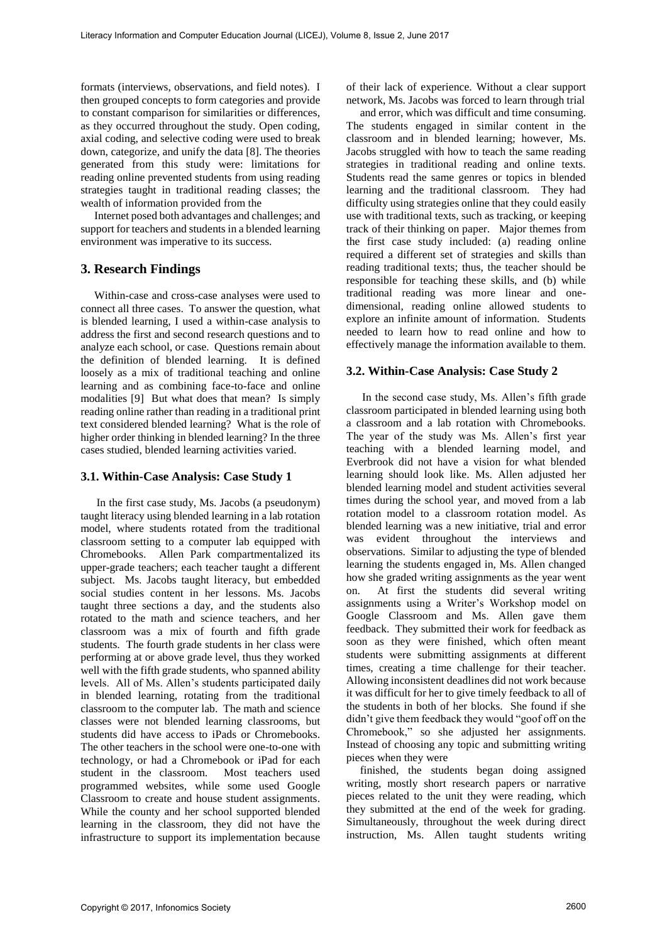formats (interviews, observations, and field notes). I then grouped concepts to form categories and provide to constant comparison for similarities or differences, as they occurred throughout the study. Open coding, axial coding, and selective coding were used to break down, categorize, and unify the data [8]. The theories generated from this study were: limitations for reading online prevented students from using reading strategies taught in traditional reading classes; the wealth of information provided from the

Internet posed both advantages and challenges; and support for teachers and students in a blended learning environment was imperative to its success.

# **3. Research Findings**

Within-case and cross-case analyses were used to connect all three cases. To answer the question, what is blended learning, I used a within-case analysis to address the first and second research questions and to analyze each school, or case. Questions remain about the definition of blended learning. It is defined loosely as a mix of traditional teaching and online learning and as combining face-to-face and online modalities [9] But what does that mean? Is simply reading online rather than reading in a traditional print text considered blended learning? What is the role of higher order thinking in blended learning? In the three cases studied, blended learning activities varied.

### **3.1. Within-Case Analysis: Case Study 1**

In the first case study, Ms. Jacobs (a pseudonym) taught literacy using blended learning in a lab rotation model, where students rotated from the traditional classroom setting to a computer lab equipped with Chromebooks. Allen Park compartmentalized its upper-grade teachers; each teacher taught a different subject. Ms. Jacobs taught literacy, but embedded social studies content in her lessons. Ms. Jacobs taught three sections a day, and the students also rotated to the math and science teachers, and her classroom was a mix of fourth and fifth grade students. The fourth grade students in her class were performing at or above grade level, thus they worked well with the fifth grade students, who spanned ability levels. All of Ms. Allen's students participated daily in blended learning, rotating from the traditional classroom to the computer lab. The math and science classes were not blended learning classrooms, but students did have access to iPads or Chromebooks. The other teachers in the school were one-to-one with technology, or had a Chromebook or iPad for each student in the classroom. Most teachers used programmed websites, while some used Google Classroom to create and house student assignments. While the county and her school supported blended learning in the classroom, they did not have the infrastructure to support its implementation because

of their lack of experience. Without a clear support network, Ms. Jacobs was forced to learn through trial

and error, which was difficult and time consuming. The students engaged in similar content in the classroom and in blended learning; however, Ms. Jacobs struggled with how to teach the same reading strategies in traditional reading and online texts. Students read the same genres or topics in blended learning and the traditional classroom. They had difficulty using strategies online that they could easily use with traditional texts, such as tracking, or keeping track of their thinking on paper. Major themes from the first case study included: (a) reading online required a different set of strategies and skills than reading traditional texts; thus, the teacher should be responsible for teaching these skills, and (b) while traditional reading was more linear and onedimensional, reading online allowed students to explore an infinite amount of information. Students needed to learn how to read online and how to effectively manage the information available to them.

## **3.2. Within-Case Analysis: Case Study 2**

In the second case study, Ms. Allen's fifth grade classroom participated in blended learning using both a classroom and a lab rotation with Chromebooks. The year of the study was Ms. Allen's first year teaching with a blended learning model, and Everbrook did not have a vision for what blended learning should look like. Ms. Allen adjusted her blended learning model and student activities several times during the school year, and moved from a lab rotation model to a classroom rotation model. As blended learning was a new initiative, trial and error was evident throughout the interviews and observations. Similar to adjusting the type of blended learning the students engaged in, Ms. Allen changed how she graded writing assignments as the year went on. At first the students did several writing assignments using a Writer's Workshop model on Google Classroom and Ms. Allen gave them feedback. They submitted their work for feedback as soon as they were finished, which often meant students were submitting assignments at different times, creating a time challenge for their teacher. Allowing inconsistent deadlines did not work because it was difficult for her to give timely feedback to all of the students in both of her blocks. She found if she didn't give them feedback they would "goof off on the Chromebook," so she adjusted her assignments. Instead of choosing any topic and submitting writing pieces when they were

finished, the students began doing assigned writing, mostly short research papers or narrative pieces related to the unit they were reading, which they submitted at the end of the week for grading. Simultaneously, throughout the week during direct instruction, Ms. Allen taught students writing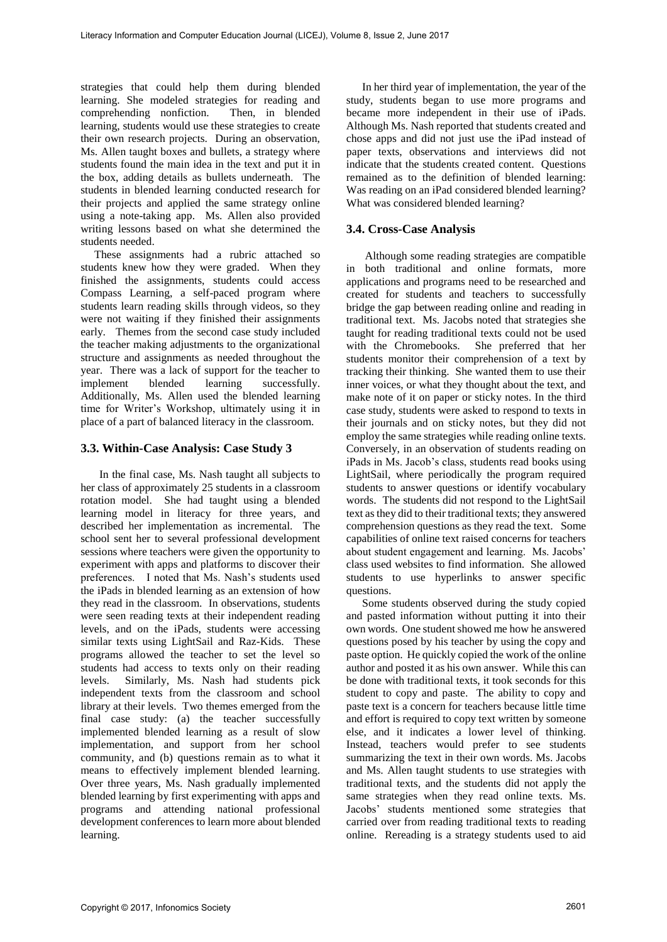strategies that could help them during blended learning. She modeled strategies for reading and comprehending nonfiction. Then, in blended learning, students would use these strategies to create their own research projects. During an observation, Ms. Allen taught boxes and bullets, a strategy where students found the main idea in the text and put it in the box, adding details as bullets underneath. The students in blended learning conducted research for their projects and applied the same strategy online using a note-taking app. Ms. Allen also provided writing lessons based on what she determined the students needed.

These assignments had a rubric attached so students knew how they were graded. When they finished the assignments, students could access Compass Learning, a self-paced program where students learn reading skills through videos, so they were not waiting if they finished their assignments early. Themes from the second case study included the teacher making adjustments to the organizational structure and assignments as needed throughout the year. There was a lack of support for the teacher to implement blended learning successfully. Additionally, Ms. Allen used the blended learning time for Writer's Workshop, ultimately using it in place of a part of balanced literacy in the classroom.

### **3.3. Within-Case Analysis: Case Study 3**

In the final case, Ms. Nash taught all subjects to her class of approximately 25 students in a classroom rotation model. She had taught using a blended learning model in literacy for three years, and described her implementation as incremental. The school sent her to several professional development sessions where teachers were given the opportunity to experiment with apps and platforms to discover their preferences. I noted that Ms. Nash's students used the iPads in blended learning as an extension of how they read in the classroom. In observations, students were seen reading texts at their independent reading levels, and on the iPads, students were accessing similar texts using LightSail and Raz-Kids. These programs allowed the teacher to set the level so students had access to texts only on their reading levels. Similarly, Ms. Nash had students pick independent texts from the classroom and school library at their levels. Two themes emerged from the final case study: (a) the teacher successfully implemented blended learning as a result of slow implementation, and support from her school community, and (b) questions remain as to what it means to effectively implement blended learning. Over three years, Ms. Nash gradually implemented blended learning by first experimenting with apps and programs and attending national professional development conferences to learn more about blended learning.

In her third year of implementation, the year of the study, students began to use more programs and became more independent in their use of iPads. Although Ms. Nash reported that students created and chose apps and did not just use the iPad instead of paper texts, observations and interviews did not indicate that the students created content. Questions remained as to the definition of blended learning: Was reading on an iPad considered blended learning? What was considered blended learning?

### **3.4. Cross-Case Analysis**

Although some reading strategies are compatible in both traditional and online formats, more applications and programs need to be researched and created for students and teachers to successfully bridge the gap between reading online and reading in traditional text. Ms. Jacobs noted that strategies she taught for reading traditional texts could not be used with the Chromebooks. She preferred that her students monitor their comprehension of a text by tracking their thinking. She wanted them to use their inner voices, or what they thought about the text, and make note of it on paper or sticky notes. In the third case study, students were asked to respond to texts in their journals and on sticky notes, but they did not employ the same strategies while reading online texts. Conversely, in an observation of students reading on iPads in Ms. Jacob's class, students read books using LightSail, where periodically the program required students to answer questions or identify vocabulary words. The students did not respond to the LightSail text as they did to their traditional texts; they answered comprehension questions as they read the text. Some capabilities of online text raised concerns for teachers about student engagement and learning. Ms. Jacobs' class used websites to find information. She allowed students to use hyperlinks to answer specific questions.

Some students observed during the study copied and pasted information without putting it into their own words. One student showed me how he answered questions posed by his teacher by using the copy and paste option. He quickly copied the work of the online author and posted it as his own answer. While this can be done with traditional texts, it took seconds for this student to copy and paste. The ability to copy and paste text is a concern for teachers because little time and effort is required to copy text written by someone else, and it indicates a lower level of thinking. Instead, teachers would prefer to see students summarizing the text in their own words. Ms. Jacobs and Ms. Allen taught students to use strategies with traditional texts, and the students did not apply the same strategies when they read online texts. Ms. Jacobs' students mentioned some strategies that carried over from reading traditional texts to reading online. Rereading is a strategy students used to aid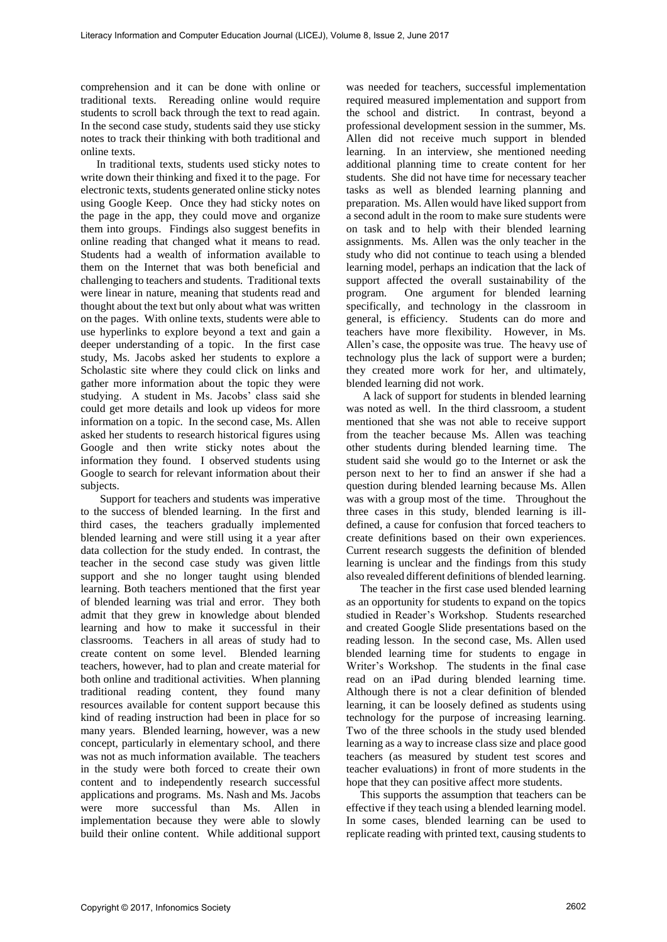comprehension and it can be done with online or traditional texts. Rereading online would require students to scroll back through the text to read again. In the second case study, students said they use sticky notes to track their thinking with both traditional and online texts.

In traditional texts, students used sticky notes to write down their thinking and fixed it to the page. For electronic texts, students generated online sticky notes using Google Keep. Once they had sticky notes on the page in the app, they could move and organize them into groups. Findings also suggest benefits in online reading that changed what it means to read. Students had a wealth of information available to them on the Internet that was both beneficial and challenging to teachers and students. Traditional texts were linear in nature, meaning that students read and thought about the text but only about what was written on the pages. With online texts, students were able to use hyperlinks to explore beyond a text and gain a deeper understanding of a topic. In the first case study, Ms. Jacobs asked her students to explore a Scholastic site where they could click on links and gather more information about the topic they were studying. A student in Ms. Jacobs' class said she could get more details and look up videos for more information on a topic. In the second case, Ms. Allen asked her students to research historical figures using Google and then write sticky notes about the information they found. I observed students using Google to search for relevant information about their subjects.

 Support for teachers and students was imperative to the success of blended learning. In the first and third cases, the teachers gradually implemented blended learning and were still using it a year after data collection for the study ended. In contrast, the teacher in the second case study was given little support and she no longer taught using blended learning. Both teachers mentioned that the first year of blended learning was trial and error. They both admit that they grew in knowledge about blended learning and how to make it successful in their classrooms. Teachers in all areas of study had to create content on some level. Blended learning teachers, however, had to plan and create material for both online and traditional activities. When planning traditional reading content, they found many resources available for content support because this kind of reading instruction had been in place for so many years. Blended learning, however, was a new concept, particularly in elementary school, and there was not as much information available. The teachers in the study were both forced to create their own content and to independently research successful applications and programs. Ms. Nash and Ms. Jacobs were more successful than Ms. Allen in implementation because they were able to slowly build their online content. While additional support

was needed for teachers, successful implementation required measured implementation and support from the school and district. In contrast, beyond a professional development session in the summer, Ms. Allen did not receive much support in blended learning. In an interview, she mentioned needing additional planning time to create content for her students. She did not have time for necessary teacher tasks as well as blended learning planning and preparation. Ms. Allen would have liked support from a second adult in the room to make sure students were on task and to help with their blended learning assignments. Ms. Allen was the only teacher in the study who did not continue to teach using a blended learning model, perhaps an indication that the lack of support affected the overall sustainability of the program. One argument for blended learning specifically, and technology in the classroom in general, is efficiency. Students can do more and teachers have more flexibility. However, in Ms. Allen's case, the opposite was true. The heavy use of technology plus the lack of support were a burden; they created more work for her, and ultimately, blended learning did not work.

A lack of support for students in blended learning was noted as well. In the third classroom, a student mentioned that she was not able to receive support from the teacher because Ms. Allen was teaching other students during blended learning time. The student said she would go to the Internet or ask the person next to her to find an answer if she had a question during blended learning because Ms. Allen was with a group most of the time. Throughout the three cases in this study, blended learning is illdefined, a cause for confusion that forced teachers to create definitions based on their own experiences. Current research suggests the definition of blended learning is unclear and the findings from this study also revealed different definitions of blended learning.

The teacher in the first case used blended learning as an opportunity for students to expand on the topics studied in Reader's Workshop. Students researched and created Google Slide presentations based on the reading lesson. In the second case, Ms. Allen used blended learning time for students to engage in Writer's Workshop. The students in the final case read on an iPad during blended learning time. Although there is not a clear definition of blended learning, it can be loosely defined as students using technology for the purpose of increasing learning. Two of the three schools in the study used blended learning as a way to increase class size and place good teachers (as measured by student test scores and teacher evaluations) in front of more students in the hope that they can positive affect more students.

This supports the assumption that teachers can be effective if they teach using a blended learning model. In some cases, blended learning can be used to replicate reading with printed text, causing students to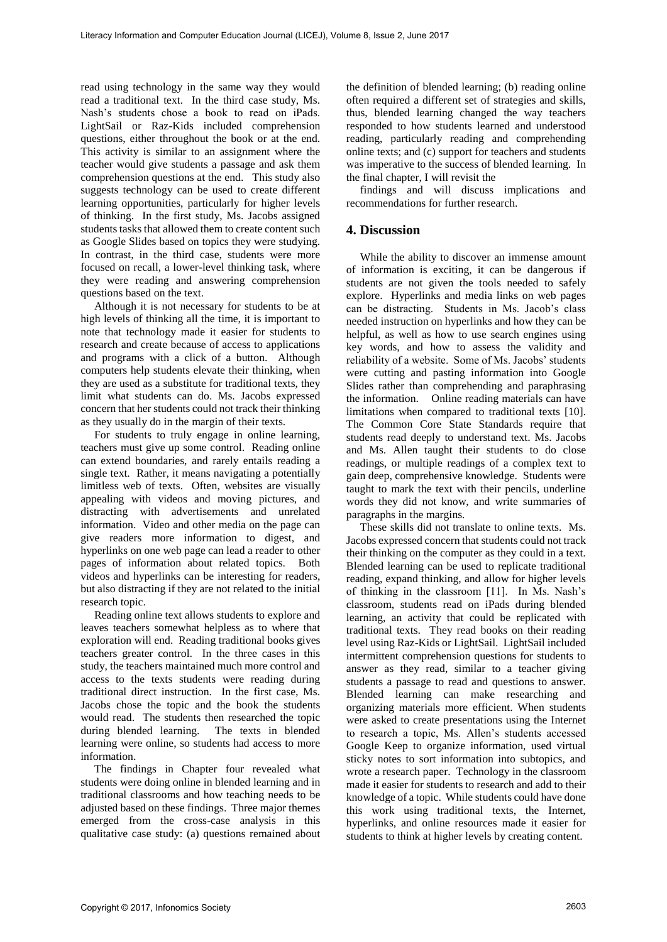read using technology in the same way they would read a traditional text. In the third case study, Ms. Nash's students chose a book to read on iPads. LightSail or Raz-Kids included comprehension questions, either throughout the book or at the end. This activity is similar to an assignment where the teacher would give students a passage and ask them comprehension questions at the end. This study also suggests technology can be used to create different learning opportunities, particularly for higher levels of thinking. In the first study, Ms. Jacobs assigned students tasks that allowed them to create content such as Google Slides based on topics they were studying. In contrast, in the third case, students were more focused on recall, a lower-level thinking task, where they were reading and answering comprehension questions based on the text.

Although it is not necessary for students to be at high levels of thinking all the time, it is important to note that technology made it easier for students to research and create because of access to applications and programs with a click of a button. Although computers help students elevate their thinking, when they are used as a substitute for traditional texts, they limit what students can do. Ms. Jacobs expressed concern that her students could not track their thinking as they usually do in the margin of their texts.

For students to truly engage in online learning, teachers must give up some control. Reading online can extend boundaries, and rarely entails reading a single text. Rather, it means navigating a potentially limitless web of texts. Often, websites are visually appealing with videos and moving pictures, and distracting with advertisements and unrelated information. Video and other media on the page can give readers more information to digest, and hyperlinks on one web page can lead a reader to other pages of information about related topics. Both videos and hyperlinks can be interesting for readers, but also distracting if they are not related to the initial research topic.

Reading online text allows students to explore and leaves teachers somewhat helpless as to where that exploration will end. Reading traditional books gives teachers greater control. In the three cases in this study, the teachers maintained much more control and access to the texts students were reading during traditional direct instruction. In the first case, Ms. Jacobs chose the topic and the book the students would read. The students then researched the topic during blended learning. The texts in blended learning were online, so students had access to more information.

The findings in Chapter four revealed what students were doing online in blended learning and in traditional classrooms and how teaching needs to be adjusted based on these findings. Three major themes emerged from the cross-case analysis in this qualitative case study: (a) questions remained about the definition of blended learning; (b) reading online often required a different set of strategies and skills, thus, blended learning changed the way teachers responded to how students learned and understood reading, particularly reading and comprehending online texts; and (c) support for teachers and students was imperative to the success of blended learning. In the final chapter, I will revisit the

findings and will discuss implications and recommendations for further research.

# **4. Discussion**

While the ability to discover an immense amount of information is exciting, it can be dangerous if students are not given the tools needed to safely explore. Hyperlinks and media links on web pages can be distracting. Students in Ms. Jacob's class needed instruction on hyperlinks and how they can be helpful, as well as how to use search engines using key words, and how to assess the validity and reliability of a website. Some of Ms. Jacobs' students were cutting and pasting information into Google Slides rather than comprehending and paraphrasing the information. Online reading materials can have limitations when compared to traditional texts [10]. The Common Core State Standards require that students read deeply to understand text. Ms. Jacobs and Ms. Allen taught their students to do close readings, or multiple readings of a complex text to gain deep, comprehensive knowledge. Students were taught to mark the text with their pencils, underline words they did not know, and write summaries of paragraphs in the margins.

These skills did not translate to online texts. Ms. Jacobs expressed concern that students could not track their thinking on the computer as they could in a text. Blended learning can be used to replicate traditional reading, expand thinking, and allow for higher levels of thinking in the classroom [11]. In Ms. Nash's classroom, students read on iPads during blended learning, an activity that could be replicated with traditional texts. They read books on their reading level using Raz-Kids or LightSail. LightSail included intermittent comprehension questions for students to answer as they read, similar to a teacher giving students a passage to read and questions to answer. Blended learning can make researching and organizing materials more efficient. When students were asked to create presentations using the Internet to research a topic, Ms. Allen's students accessed Google Keep to organize information, used virtual sticky notes to sort information into subtopics, and wrote a research paper. Technology in the classroom made it easier for students to research and add to their knowledge of a topic. While students could have done this work using traditional texts, the Internet, hyperlinks, and online resources made it easier for students to think at higher levels by creating content.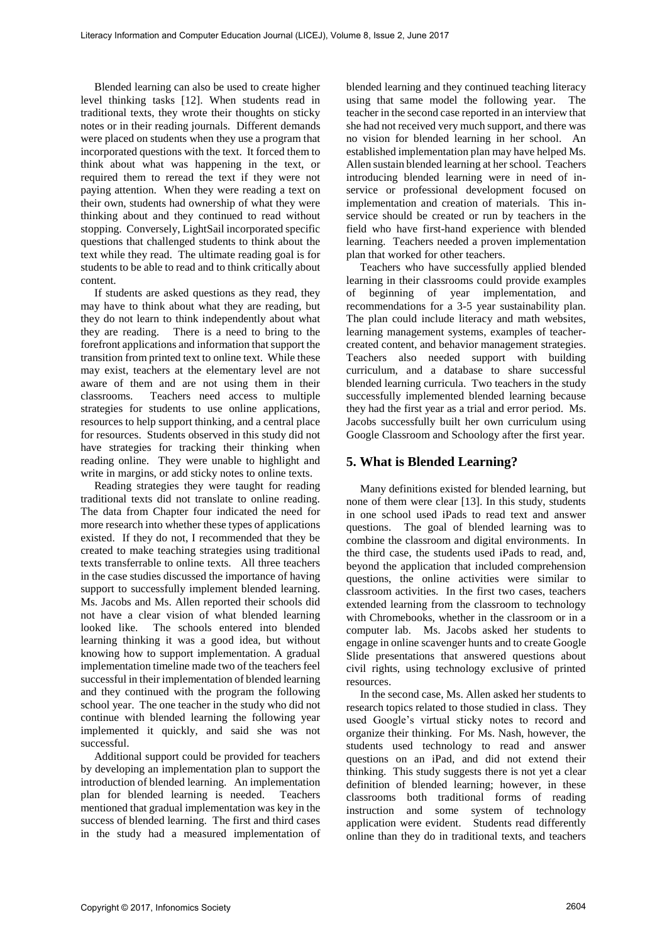Blended learning can also be used to create higher level thinking tasks [12]. When students read in traditional texts, they wrote their thoughts on sticky notes or in their reading journals. Different demands were placed on students when they use a program that incorporated questions with the text. It forced them to think about what was happening in the text, or required them to reread the text if they were not paying attention. When they were reading a text on their own, students had ownership of what they were thinking about and they continued to read without stopping. Conversely, LightSail incorporated specific questions that challenged students to think about the text while they read. The ultimate reading goal is for students to be able to read and to think critically about content.

If students are asked questions as they read, they may have to think about what they are reading, but they do not learn to think independently about what they are reading. There is a need to bring to the forefront applications and information that support the transition from printed text to online text. While these may exist, teachers at the elementary level are not aware of them and are not using them in their classrooms. Teachers need access to multiple strategies for students to use online applications, resources to help support thinking, and a central place for resources. Students observed in this study did not have strategies for tracking their thinking when reading online. They were unable to highlight and write in margins, or add sticky notes to online texts.

Reading strategies they were taught for reading traditional texts did not translate to online reading. The data from Chapter four indicated the need for more research into whether these types of applications existed. If they do not, I recommended that they be created to make teaching strategies using traditional texts transferrable to online texts. All three teachers in the case studies discussed the importance of having support to successfully implement blended learning. Ms. Jacobs and Ms. Allen reported their schools did not have a clear vision of what blended learning looked like. The schools entered into blended learning thinking it was a good idea, but without knowing how to support implementation. A gradual implementation timeline made two of the teachers feel successful in their implementation of blended learning and they continued with the program the following school year. The one teacher in the study who did not continue with blended learning the following year implemented it quickly, and said she was not successful.

Additional support could be provided for teachers by developing an implementation plan to support the introduction of blended learning. An implementation plan for blended learning is needed. Teachers mentioned that gradual implementation was key in the success of blended learning. The first and third cases in the study had a measured implementation of

blended learning and they continued teaching literacy using that same model the following year. The teacher in the second case reported in an interview that she had not received very much support, and there was no vision for blended learning in her school. An established implementation plan may have helped Ms. Allen sustain blended learning at her school. Teachers introducing blended learning were in need of inservice or professional development focused on implementation and creation of materials. This inservice should be created or run by teachers in the field who have first-hand experience with blended learning. Teachers needed a proven implementation plan that worked for other teachers.

Teachers who have successfully applied blended learning in their classrooms could provide examples of beginning of year implementation, and recommendations for a 3-5 year sustainability plan. The plan could include literacy and math websites, learning management systems, examples of teachercreated content, and behavior management strategies. Teachers also needed support with building curriculum, and a database to share successful blended learning curricula. Two teachers in the study successfully implemented blended learning because they had the first year as a trial and error period. Ms. Jacobs successfully built her own curriculum using Google Classroom and Schoology after the first year.

# **5. What is Blended Learning?**

Many definitions existed for blended learning, but none of them were clear [13]. In this study, students in one school used iPads to read text and answer questions. The goal of blended learning was to combine the classroom and digital environments. In the third case, the students used iPads to read, and, beyond the application that included comprehension questions, the online activities were similar to classroom activities. In the first two cases, teachers extended learning from the classroom to technology with Chromebooks, whether in the classroom or in a computer lab. Ms. Jacobs asked her students to engage in online scavenger hunts and to create Google Slide presentations that answered questions about civil rights, using technology exclusive of printed resources.

In the second case, Ms. Allen asked her students to research topics related to those studied in class. They used Google's virtual sticky notes to record and organize their thinking. For Ms. Nash, however, the students used technology to read and answer questions on an iPad, and did not extend their thinking. This study suggests there is not yet a clear definition of blended learning; however, in these classrooms both traditional forms of reading instruction and some system of technology application were evident. Students read differently online than they do in traditional texts, and teachers